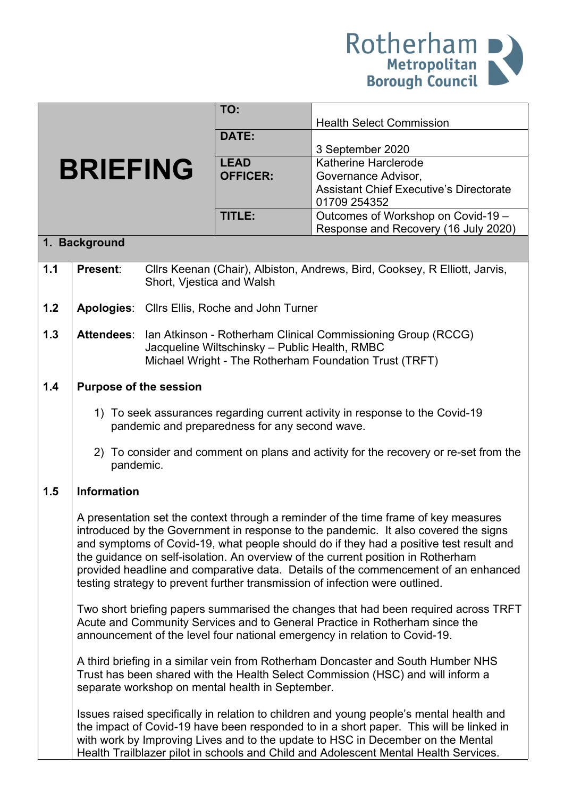

|               |                                                                                                                                                                                                                                                                                                                                                                                                                                                                                                                                |                           | TO:                                           | <b>Health Select Commission</b>                                                      |  |  |
|---------------|--------------------------------------------------------------------------------------------------------------------------------------------------------------------------------------------------------------------------------------------------------------------------------------------------------------------------------------------------------------------------------------------------------------------------------------------------------------------------------------------------------------------------------|---------------------------|-----------------------------------------------|--------------------------------------------------------------------------------------|--|--|
|               |                                                                                                                                                                                                                                                                                                                                                                                                                                                                                                                                |                           | DATE:                                         |                                                                                      |  |  |
|               |                                                                                                                                                                                                                                                                                                                                                                                                                                                                                                                                |                           |                                               | 3 September 2020                                                                     |  |  |
|               | <b>BRIEFING</b>                                                                                                                                                                                                                                                                                                                                                                                                                                                                                                                |                           | <b>LEAD</b>                                   | Katherine Harclerode                                                                 |  |  |
|               |                                                                                                                                                                                                                                                                                                                                                                                                                                                                                                                                |                           | <b>OFFICER:</b>                               | Governance Advisor,                                                                  |  |  |
|               |                                                                                                                                                                                                                                                                                                                                                                                                                                                                                                                                |                           |                                               | <b>Assistant Chief Executive's Directorate</b>                                       |  |  |
|               |                                                                                                                                                                                                                                                                                                                                                                                                                                                                                                                                |                           |                                               | 01709 254352                                                                         |  |  |
|               |                                                                                                                                                                                                                                                                                                                                                                                                                                                                                                                                |                           | TITLE:                                        | Outcomes of Workshop on Covid-19 -<br>Response and Recovery (16 July 2020)           |  |  |
| 1. Background |                                                                                                                                                                                                                                                                                                                                                                                                                                                                                                                                |                           |                                               |                                                                                      |  |  |
| 1.1           | Present:                                                                                                                                                                                                                                                                                                                                                                                                                                                                                                                       |                           |                                               | Cllrs Keenan (Chair), Albiston, Andrews, Bird, Cooksey, R Elliott, Jarvis,           |  |  |
|               |                                                                                                                                                                                                                                                                                                                                                                                                                                                                                                                                | Short, Vjestica and Walsh |                                               |                                                                                      |  |  |
|               |                                                                                                                                                                                                                                                                                                                                                                                                                                                                                                                                |                           |                                               |                                                                                      |  |  |
| 1.2           |                                                                                                                                                                                                                                                                                                                                                                                                                                                                                                                                |                           | Apologies: Cllrs Ellis, Roche and John Turner |                                                                                      |  |  |
| 1.3           | <b>Attendees:</b>                                                                                                                                                                                                                                                                                                                                                                                                                                                                                                              |                           |                                               | Ian Atkinson - Rotherham Clinical Commissioning Group (RCCG)                         |  |  |
|               |                                                                                                                                                                                                                                                                                                                                                                                                                                                                                                                                |                           | Jacqueline Wiltschinsky - Public Health, RMBC |                                                                                      |  |  |
|               |                                                                                                                                                                                                                                                                                                                                                                                                                                                                                                                                |                           |                                               | Michael Wright - The Rotherham Foundation Trust (TRFT)                               |  |  |
| 1.4           | <b>Purpose of the session</b>                                                                                                                                                                                                                                                                                                                                                                                                                                                                                                  |                           |                                               |                                                                                      |  |  |
|               |                                                                                                                                                                                                                                                                                                                                                                                                                                                                                                                                |                           |                                               |                                                                                      |  |  |
|               | 1) To seek assurances regarding current activity in response to the Covid-19                                                                                                                                                                                                                                                                                                                                                                                                                                                   |                           |                                               |                                                                                      |  |  |
|               | pandemic and preparedness for any second wave.                                                                                                                                                                                                                                                                                                                                                                                                                                                                                 |                           |                                               |                                                                                      |  |  |
|               |                                                                                                                                                                                                                                                                                                                                                                                                                                                                                                                                |                           |                                               | 2) To consider and comment on plans and activity for the recovery or re-set from the |  |  |
|               | pandemic.                                                                                                                                                                                                                                                                                                                                                                                                                                                                                                                      |                           |                                               |                                                                                      |  |  |
| 1.5           | <b>Information</b>                                                                                                                                                                                                                                                                                                                                                                                                                                                                                                             |                           |                                               |                                                                                      |  |  |
|               | A presentation set the context through a reminder of the time frame of key measures<br>introduced by the Government in response to the pandemic. It also covered the signs<br>and symptoms of Covid-19, what people should do if they had a positive test result and<br>the guidance on self-isolation. An overview of the current position in Rotherham<br>provided headline and comparative data. Details of the commencement of an enhanced<br>testing strategy to prevent further transmission of infection were outlined. |                           |                                               |                                                                                      |  |  |
|               | Two short briefing papers summarised the changes that had been required across TRFT<br>Acute and Community Services and to General Practice in Rotherham since the<br>announcement of the level four national emergency in relation to Covid-19.                                                                                                                                                                                                                                                                               |                           |                                               |                                                                                      |  |  |
|               | A third briefing in a similar vein from Rotherham Doncaster and South Humber NHS<br>Trust has been shared with the Health Select Commission (HSC) and will inform a<br>separate workshop on mental health in September.                                                                                                                                                                                                                                                                                                        |                           |                                               |                                                                                      |  |  |
|               | Issues raised specifically in relation to children and young people's mental health and<br>the impact of Covid-19 have been responded to in a short paper. This will be linked in<br>with work by Improving Lives and to the update to HSC in December on the Mental<br>Health Trailblazer pilot in schools and Child and Adolescent Mental Health Services.                                                                                                                                                                   |                           |                                               |                                                                                      |  |  |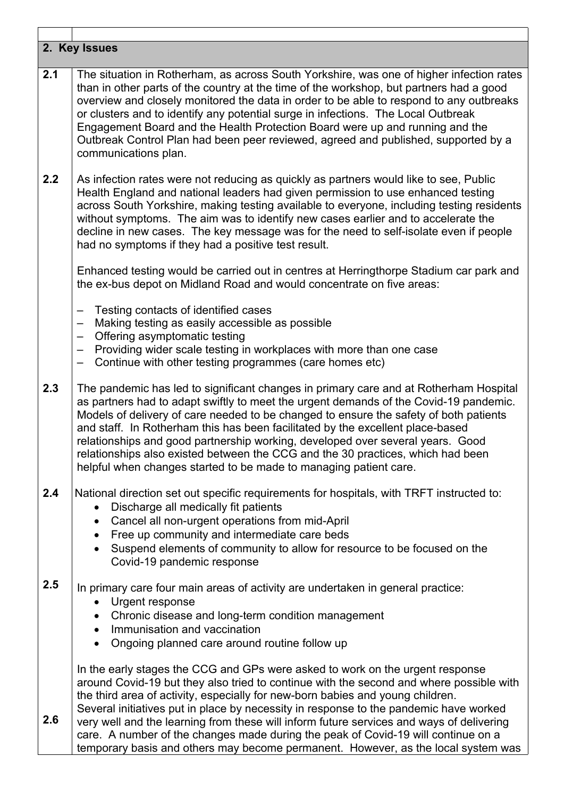| 2. Key Issues |                                                                                                                                                                                                                                                                                                                                                                                                                                                                                                                                                                                                                           |  |  |  |  |
|---------------|---------------------------------------------------------------------------------------------------------------------------------------------------------------------------------------------------------------------------------------------------------------------------------------------------------------------------------------------------------------------------------------------------------------------------------------------------------------------------------------------------------------------------------------------------------------------------------------------------------------------------|--|--|--|--|
| 2.1           | The situation in Rotherham, as across South Yorkshire, was one of higher infection rates<br>than in other parts of the country at the time of the workshop, but partners had a good<br>overview and closely monitored the data in order to be able to respond to any outbreaks<br>or clusters and to identify any potential surge in infections. The Local Outbreak<br>Engagement Board and the Health Protection Board were up and running and the<br>Outbreak Control Plan had been peer reviewed, agreed and published, supported by a<br>communications plan.                                                         |  |  |  |  |
| 2.2           | As infection rates were not reducing as quickly as partners would like to see, Public<br>Health England and national leaders had given permission to use enhanced testing<br>across South Yorkshire, making testing available to everyone, including testing residents<br>without symptoms. The aim was to identify new cases earlier and to accelerate the<br>decline in new cases. The key message was for the need to self-isolate even if people<br>had no symptoms if they had a positive test result.                                                                                                               |  |  |  |  |
|               | Enhanced testing would be carried out in centres at Herringthorpe Stadium car park and<br>the ex-bus depot on Midland Road and would concentrate on five areas:                                                                                                                                                                                                                                                                                                                                                                                                                                                           |  |  |  |  |
|               | Testing contacts of identified cases<br>Making testing as easily accessible as possible<br>$\qquad \qquad$<br>Offering asymptomatic testing<br>Providing wider scale testing in workplaces with more than one case<br>Continue with other testing programmes (care homes etc)<br>$\qquad \qquad -$                                                                                                                                                                                                                                                                                                                        |  |  |  |  |
| 2.3           | The pandemic has led to significant changes in primary care and at Rotherham Hospital<br>as partners had to adapt swiftly to meet the urgent demands of the Covid-19 pandemic.<br>Models of delivery of care needed to be changed to ensure the safety of both patients<br>and staff. In Rotherham this has been facilitated by the excellent place-based<br>relationships and good partnership working, developed over several years. Good<br>relationships also existed between the CCG and the 30 practices, which had been<br>helpful when changes started to be made to managing patient care.                       |  |  |  |  |
| 2.4           | National direction set out specific requirements for hospitals, with TRFT instructed to:<br>Discharge all medically fit patients<br>Cancel all non-urgent operations from mid-April<br>٠<br>Free up community and intermediate care beds<br>$\bullet$<br>Suspend elements of community to allow for resource to be focused on the<br>Covid-19 pandemic response                                                                                                                                                                                                                                                           |  |  |  |  |
| 2.5           | In primary care four main areas of activity are undertaken in general practice:<br>Urgent response<br>$\bullet$<br>Chronic disease and long-term condition management<br>Immunisation and vaccination<br>$\bullet$<br>Ongoing planned care around routine follow up<br>$\bullet$                                                                                                                                                                                                                                                                                                                                          |  |  |  |  |
| 2.6           | In the early stages the CCG and GPs were asked to work on the urgent response<br>around Covid-19 but they also tried to continue with the second and where possible with<br>the third area of activity, especially for new-born babies and young children.<br>Several initiatives put in place by necessity in response to the pandemic have worked<br>very well and the learning from these will inform future services and ways of delivering<br>care. A number of the changes made during the peak of Covid-19 will continue on a<br>temporary basis and others may become permanent. However, as the local system was |  |  |  |  |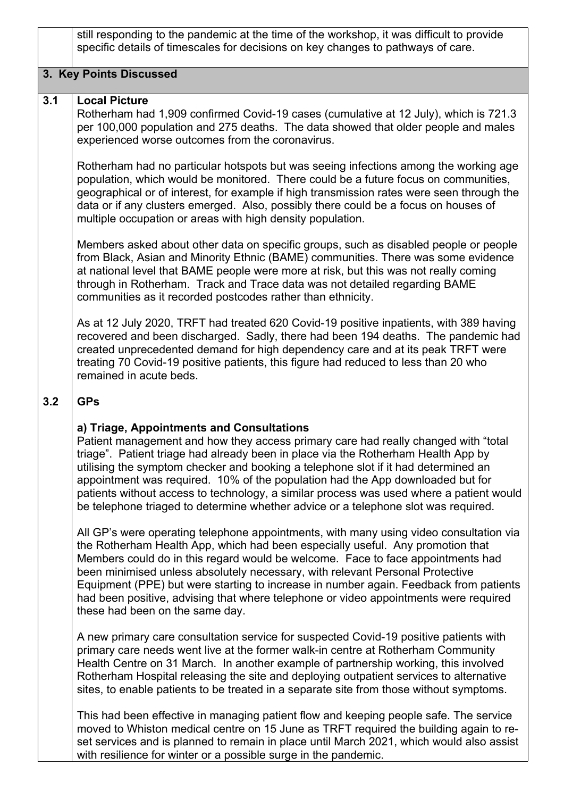still responding to the pandemic at the time of the workshop, it was difficult to provide specific details of timescales for decisions on key changes to pathways of care.

## **3. Key Points Discussed**

#### **3.1 Local Picture**

Rotherham had 1,909 confirmed Covid-19 cases (cumulative at 12 July), which is 721.3 per 100,000 population and 275 deaths. The data showed that older people and males experienced worse outcomes from the coronavirus.

Rotherham had no particular hotspots but was seeing infections among the working age population, which would be monitored. There could be a future focus on communities, geographical or of interest, for example if high transmission rates were seen through the data or if any clusters emerged. Also, possibly there could be a focus on houses of multiple occupation or areas with high density population.

Members asked about other data on specific groups, such as disabled people or people from Black, Asian and Minority Ethnic (BAME) communities. There was some evidence at national level that BAME people were more at risk, but this was not really coming through in Rotherham. Track and Trace data was not detailed regarding BAME communities as it recorded postcodes rather than ethnicity.

As at 12 July 2020, TRFT had treated 620 Covid-19 positive inpatients, with 389 having recovered and been discharged. Sadly, there had been 194 deaths. The pandemic had created unprecedented demand for high dependency care and at its peak TRFT were treating 70 Covid-19 positive patients, this figure had reduced to less than 20 who remained in acute beds.

#### **3.2 GPs**

# **a) Triage, Appointments and Consultations**

Patient management and how they access primary care had really changed with "total triage". Patient triage had already been in place via the Rotherham Health App by utilising the symptom checker and booking a telephone slot if it had determined an appointment was required. 10% of the population had the App downloaded but for patients without access to technology, a similar process was used where a patient would be telephone triaged to determine whether advice or a telephone slot was required.

All GP's were operating telephone appointments, with many using video consultation via the Rotherham Health App, which had been especially useful. Any promotion that Members could do in this regard would be welcome. Face to face appointments had been minimised unless absolutely necessary, with relevant Personal Protective Equipment (PPE) but were starting to increase in number again. Feedback from patients had been positive, advising that where telephone or video appointments were required these had been on the same day.

A new primary care consultation service for suspected Covid-19 positive patients with primary care needs went live at the former walk-in centre at Rotherham Community Health Centre on 31 March. In another example of partnership working, this involved Rotherham Hospital releasing the site and deploying outpatient services to alternative sites, to enable patients to be treated in a separate site from those without symptoms.

This had been effective in managing patient flow and keeping people safe. The service moved to Whiston medical centre on 15 June as TRFT required the building again to reset services and is planned to remain in place until March 2021, which would also assist with resilience for winter or a possible surge in the pandemic.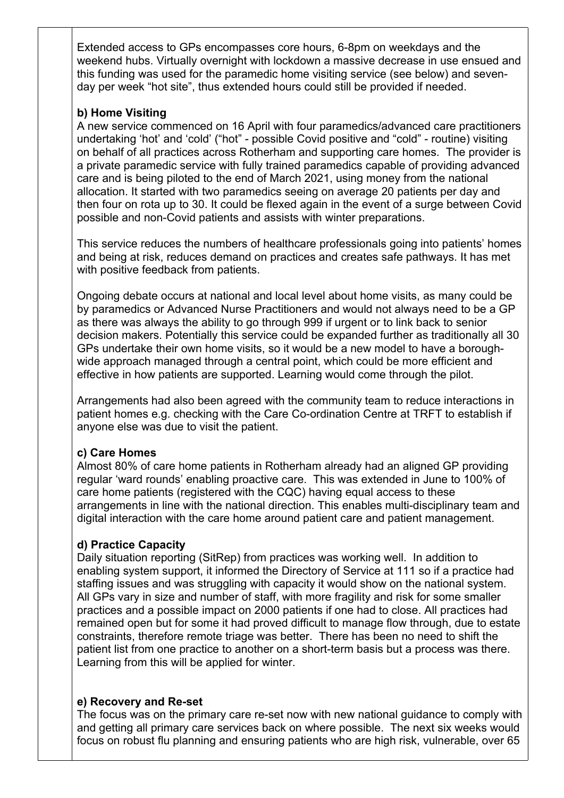Extended access to GPs encompasses core hours, 6-8pm on weekdays and the weekend hubs. Virtually overnight with lockdown a massive decrease in use ensued and this funding was used for the paramedic home visiting service (see below) and sevenday per week "hot site", thus extended hours could still be provided if needed.

## **b) Home Visiting**

A new service commenced on 16 April with four paramedics/advanced care practitioners undertaking 'hot' and 'cold' ("hot" - possible Covid positive and "cold" - routine) visiting on behalf of all practices across Rotherham and supporting care homes. The provider is a private paramedic service with fully trained paramedics capable of providing advanced care and is being piloted to the end of March 2021, using money from the national allocation. It started with two paramedics seeing on average 20 patients per day and then four on rota up to 30. It could be flexed again in the event of a surge between Covid possible and non-Covid patients and assists with winter preparations.

This service reduces the numbers of healthcare professionals going into patients' homes and being at risk, reduces demand on practices and creates safe pathways. It has met with positive feedback from patients.

Ongoing debate occurs at national and local level about home visits, as many could be by paramedics or Advanced Nurse Practitioners and would not always need to be a GP as there was always the ability to go through 999 if urgent or to link back to senior decision makers. Potentially this service could be expanded further as traditionally all 30 GPs undertake their own home visits, so it would be a new model to have a boroughwide approach managed through a central point, which could be more efficient and effective in how patients are supported. Learning would come through the pilot.

Arrangements had also been agreed with the community team to reduce interactions in patient homes e.g. checking with the Care Co-ordination Centre at TRFT to establish if anyone else was due to visit the patient.

## **c) Care Homes**

Almost 80% of care home patients in Rotherham already had an aligned GP providing regular 'ward rounds' enabling proactive care. This was extended in June to 100% of care home patients (registered with the CQC) having equal access to these arrangements in line with the national direction. This enables multi-disciplinary team and digital interaction with the care home around patient care and patient management.

# **d) Practice Capacity**

Daily situation reporting (SitRep) from practices was working well. In addition to enabling system support, it informed the Directory of Service at 111 so if a practice had staffing issues and was struggling with capacity it would show on the national system. All GPs vary in size and number of staff, with more fragility and risk for some smaller practices and a possible impact on 2000 patients if one had to close. All practices had remained open but for some it had proved difficult to manage flow through, due to estate constraints, therefore remote triage was better. There has been no need to shift the patient list from one practice to another on a short-term basis but a process was there. Learning from this will be applied for winter.

## **e) Recovery and Re-set**

The focus was on the primary care re-set now with new national guidance to comply with and getting all primary care services back on where possible. The next six weeks would focus on robust flu planning and ensuring patients who are high risk, vulnerable, over 65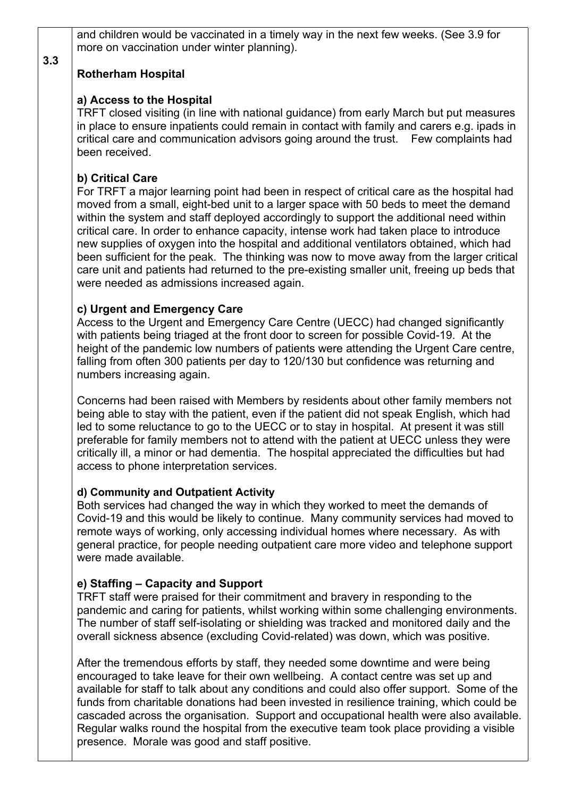and children would be vaccinated in a timely way in the next few weeks. (See 3.9 for more on vaccination under winter planning).

# **Rotherham Hospital**

**3.3**

## **a) Access to the Hospital**

TRFT closed visiting (in line with national guidance) from early March but put measures in place to ensure inpatients could remain in contact with family and carers e.g. ipads in critical care and communication advisors going around the trust. Few complaints had been received.

# **b) Critical Care**

For TRFT a major learning point had been in respect of critical care as the hospital had moved from a small, eight-bed unit to a larger space with 50 beds to meet the demand within the system and staff deployed accordingly to support the additional need within critical care. In order to enhance capacity, intense work had taken place to introduce new supplies of oxygen into the hospital and additional ventilators obtained, which had been sufficient for the peak. The thinking was now to move away from the larger critical care unit and patients had returned to the pre-existing smaller unit, freeing up beds that were needed as admissions increased again.

# **c) Urgent and Emergency Care**

Access to the Urgent and Emergency Care Centre (UECC) had changed significantly with patients being triaged at the front door to screen for possible Covid-19. At the height of the pandemic low numbers of patients were attending the Urgent Care centre, falling from often 300 patients per day to 120/130 but confidence was returning and numbers increasing again.

Concerns had been raised with Members by residents about other family members not being able to stay with the patient, even if the patient did not speak English, which had led to some reluctance to go to the UECC or to stay in hospital. At present it was still preferable for family members not to attend with the patient at UECC unless they were critically ill, a minor or had dementia. The hospital appreciated the difficulties but had access to phone interpretation services.

## **d) Community and Outpatient Activity**

Both services had changed the way in which they worked to meet the demands of Covid-19 and this would be likely to continue. Many community services had moved to remote ways of working, only accessing individual homes where necessary. As with general practice, for people needing outpatient care more video and telephone support were made available.

# **e) Staffing – Capacity and Support**

TRFT staff were praised for their commitment and bravery in responding to the pandemic and caring for patients, whilst working within some challenging environments. The number of staff self-isolating or shielding was tracked and monitored daily and the overall sickness absence (excluding Covid-related) was down, which was positive.

 After the tremendous efforts by staff, they needed some downtime and were being encouraged to take leave for their own wellbeing. A contact centre was set up and available for staff to talk about any conditions and could also offer support. Some of the funds from charitable donations had been invested in resilience training, which could be cascaded across the organisation. Support and occupational health were also available. Regular walks round the hospital from the executive team took place providing a visible presence. Morale was good and staff positive.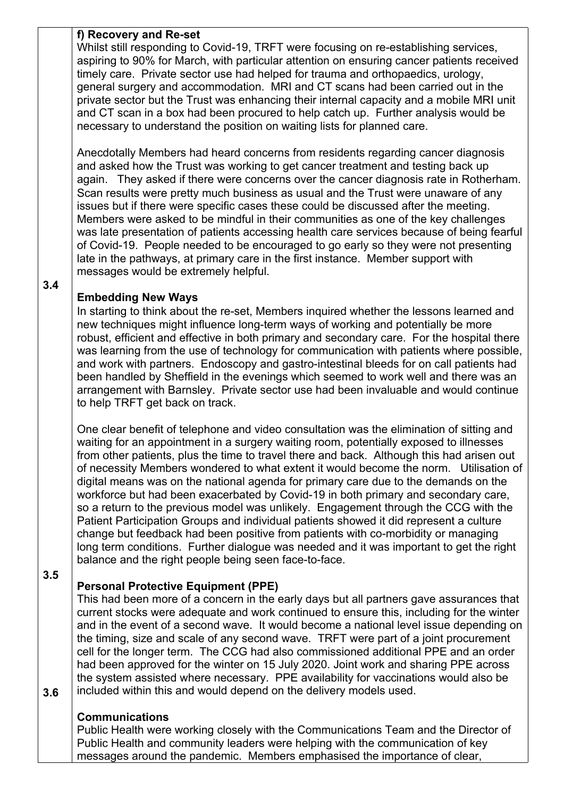#### **f) Recovery and Re-set**

Whilst still responding to Covid-19, TRFT were focusing on re-establishing services, aspiring to 90% for March, with particular attention on ensuring cancer patients received timely care. Private sector use had helped for trauma and orthopaedics, urology, general surgery and accommodation. MRI and CT scans had been carried out in the private sector but the Trust was enhancing their internal capacity and a mobile MRI unit and CT scan in a box had been procured to help catch up. Further analysis would be necessary to understand the position on waiting lists for planned care.

 Anecdotally Members had heard concerns from residents regarding cancer diagnosis and asked how the Trust was working to get cancer treatment and testing back up again. They asked if there were concerns over the cancer diagnosis rate in Rotherham. Scan results were pretty much business as usual and the Trust were unaware of any issues but if there were specific cases these could be discussed after the meeting. Members were asked to be mindful in their communities as one of the key challenges was late presentation of patients accessing health care services because of being fearful of Covid-19. People needed to be encouraged to go early so they were not presenting late in the pathways, at primary care in the first instance. Member support with messages would be extremely helpful.

## **3.4**

# **Embedding New Ways**

 In starting to think about the re-set, Members inquired whether the lessons learned and new techniques might influence long-term ways of working and potentially be more robust, efficient and effective in both primary and secondary care. For the hospital there was learning from the use of technology for communication with patients where possible, and work with partners. Endoscopy and gastro-intestinal bleeds for on call patients had been handled by Sheffield in the evenings which seemed to work well and there was an arrangement with Barnsley. Private sector use had been invaluable and would continue to help TRFT get back on track.

One clear benefit of telephone and video consultation was the elimination of sitting and waiting for an appointment in a surgery waiting room, potentially exposed to illnesses from other patients, plus the time to travel there and back. Although this had arisen out of necessity Members wondered to what extent it would become the norm. Utilisation of digital means was on the national agenda for primary care due to the demands on the workforce but had been exacerbated by Covid-19 in both primary and secondary care, so a return to the previous model was unlikely. Engagement through the CCG with the Patient Participation Groups and individual patients showed it did represent a culture change but feedback had been positive from patients with co-morbidity or managing long term conditions. Further dialogue was needed and it was important to get the right balance and the right people being seen face-to-face.

## **3.5**

**3.6**

# **Personal Protective Equipment (PPE)**

This had been more of a concern in the early days but all partners gave assurances that current stocks were adequate and work continued to ensure this, including for the winter and in the event of a second wave. It would become a national level issue depending on the timing, size and scale of any second wave. TRFT were part of a joint procurement cell for the longer term. The CCG had also commissioned additional PPE and an order had been approved for the winter on 15 July 2020. Joint work and sharing PPE across the system assisted where necessary. PPE availability for vaccinations would also be included within this and would depend on the delivery models used.

## **Communications**

Public Health were working closely with the Communications Team and the Director of Public Health and community leaders were helping with the communication of key messages around the pandemic. Members emphasised the importance of clear,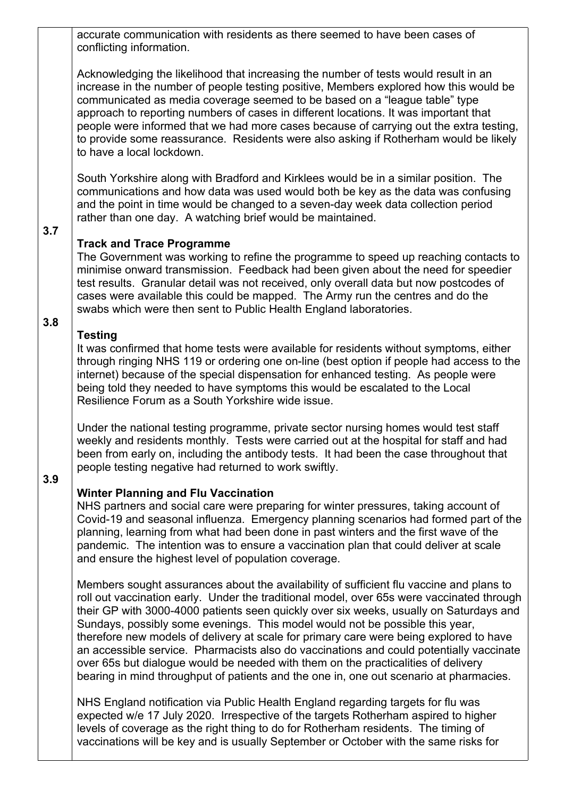accurate communication with residents as there seemed to have been cases of conflicting information.

Acknowledging the likelihood that increasing the number of tests would result in an increase in the number of people testing positive, Members explored how this would be communicated as media coverage seemed to be based on a "league table" type approach to reporting numbers of cases in different locations. It was important that people were informed that we had more cases because of carrying out the extra testing, to provide some reassurance. Residents were also asking if Rotherham would be likely to have a local lockdown.

South Yorkshire along with Bradford and Kirklees would be in a similar position. The communications and how data was used would both be key as the data was confusing and the point in time would be changed to a seven-day week data collection period rather than one day. A watching brief would be maintained.

# **3.7**

**3.8**

## **Track and Trace Programme**

The Government was working to refine the programme to speed up reaching contacts to minimise onward transmission. Feedback had been given about the need for speedier test results. Granular detail was not received, only overall data but now postcodes of cases were available this could be mapped. The Army run the centres and do the swabs which were then sent to Public Health England laboratories.

# **Testing**

It was confirmed that home tests were available for residents without symptoms, either through ringing NHS 119 or ordering one on-line (best option if people had access to the internet) because of the special dispensation for enhanced testing. As people were being told they needed to have symptoms this would be escalated to the Local Resilience Forum as a South Yorkshire wide issue.

 Under the national testing programme, private sector nursing homes would test staff weekly and residents monthly. Tests were carried out at the hospital for staff and had been from early on, including the antibody tests. It had been the case throughout that people testing negative had returned to work swiftly.

## **3.9**

# **Winter Planning and Flu Vaccination**

NHS partners and social care were preparing for winter pressures, taking account of Covid-19 and seasonal influenza. Emergency planning scenarios had formed part of the planning, learning from what had been done in past winters and the first wave of the pandemic. The intention was to ensure a vaccination plan that could deliver at scale and ensure the highest level of population coverage.

Members sought assurances about the availability of sufficient flu vaccine and plans to roll out vaccination early. Under the traditional model, over 65s were vaccinated through their GP with 3000-4000 patients seen quickly over six weeks, usually on Saturdays and Sundays, possibly some evenings. This model would not be possible this year, therefore new models of delivery at scale for primary care were being explored to have an accessible service. Pharmacists also do vaccinations and could potentially vaccinate over 65s but dialogue would be needed with them on the practicalities of delivery bearing in mind throughput of patients and the one in, one out scenario at pharmacies.

NHS England notification via Public Health England regarding targets for flu was expected w/e 17 July 2020. Irrespective of the targets Rotherham aspired to higher levels of coverage as the right thing to do for Rotherham residents. The timing of vaccinations will be key and is usually September or October with the same risks for